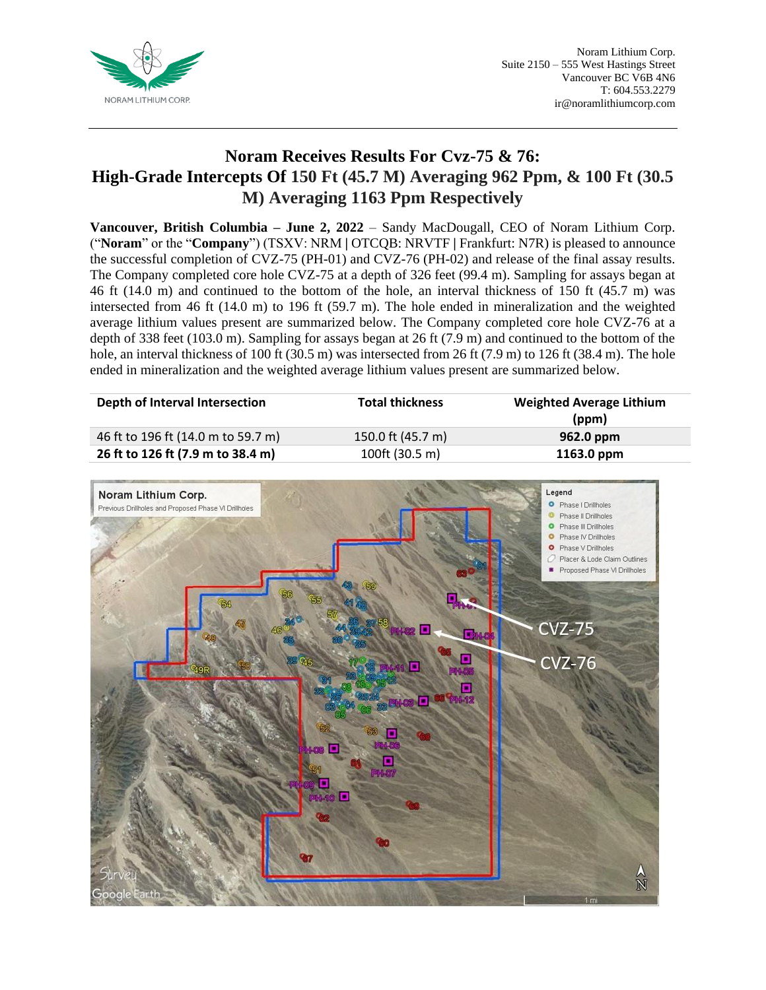

## **Noram Receives Results For Cvz-75 & 76: High-Grade Intercepts Of 150 Ft (45.7 M) Averaging 962 Ppm, & 100 Ft (30.5 M) Averaging 1163 Ppm Respectively**

**Vancouver, British Columbia – June 2, 2022** – Sandy MacDougall, CEO of Noram Lithium Corp. ("**Noram**" or the "**Company**") (TSXV: NRM **|** OTCQB: NRVTF **|** Frankfurt: N7R) is pleased to announce the successful completion of CVZ-75 (PH-01) and CVZ-76 (PH-02) and release of the final assay results. The Company completed core hole CVZ-75 at a depth of 326 feet (99.4 m). Sampling for assays began at 46 ft (14.0 m) and continued to the bottom of the hole, an interval thickness of 150 ft (45.7 m) was intersected from 46 ft (14.0 m) to 196 ft (59.7 m). The hole ended in mineralization and the weighted average lithium values present are summarized below. The Company completed core hole CVZ-76 at a depth of 338 feet (103.0 m). Sampling for assays began at 26 ft (7.9 m) and continued to the bottom of the hole, an interval thickness of 100 ft (30.5 m) was intersected from 26 ft (7.9 m) to 126 ft (38.4 m). The hole ended in mineralization and the weighted average lithium values present are summarized below.

| Depth of Interval Intersection     | <b>Total thickness</b> | <b>Weighted Average Lithium</b><br>(ppm) |
|------------------------------------|------------------------|------------------------------------------|
| 46 ft to 196 ft (14.0 m to 59.7 m) | 150.0 ft (45.7 m)      | 962.0 ppm                                |
| 26 ft to 126 ft (7.9 m to 38.4 m)  | 100ft (30.5 m)         | 1163.0 ppm                               |

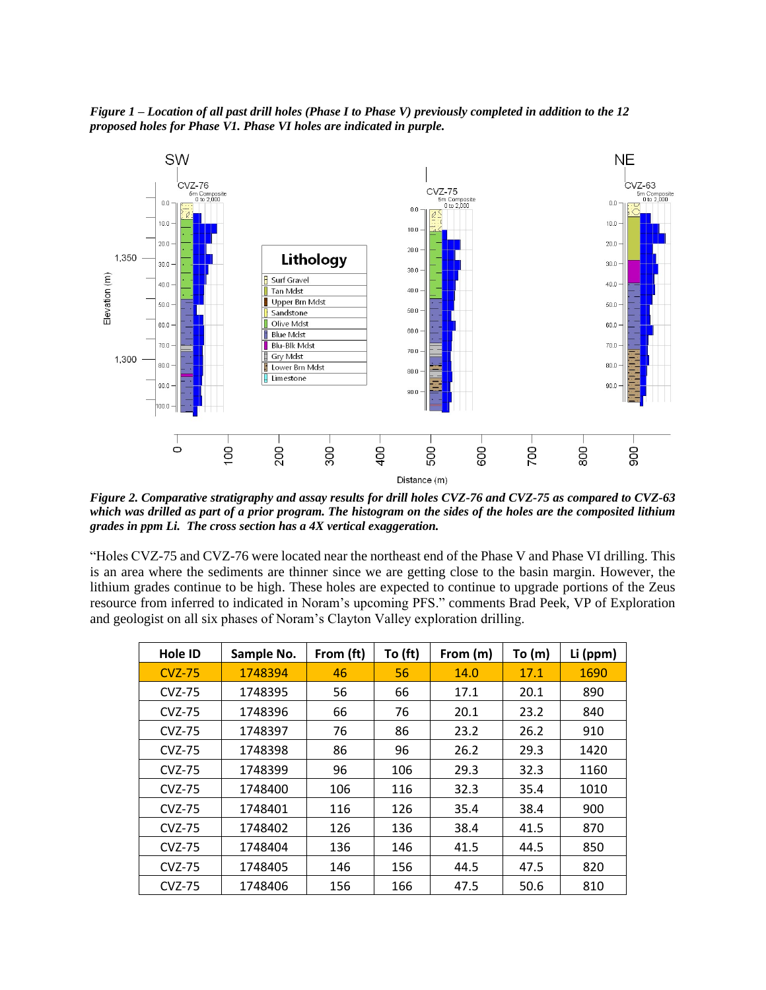*Figure 1 – Location of all past drill holes (Phase I to Phase V) previously completed in addition to the 12 proposed holes for Phase V1. Phase VI holes are indicated in purple.*



*Figure 2. Comparative stratigraphy and assay results for drill holes CVZ-76 and CVZ-75 as compared to CVZ-63 which was drilled as part of a prior program. The histogram on the sides of the holes are the composited lithium grades in ppm Li. The cross section has a 4X vertical exaggeration.*

"Holes CVZ-75 and CVZ-76 were located near the northeast end of the Phase V and Phase VI drilling. This is an area where the sediments are thinner since we are getting close to the basin margin. However, the lithium grades continue to be high. These holes are expected to continue to upgrade portions of the Zeus resource from inferred to indicated in Noram's upcoming PFS." comments Brad Peek, VP of Exploration and geologist on all six phases of Noram's Clayton Valley exploration drilling.

| Hole ID       | Sample No. | From (ft) | To (ft) | From (m) | To (m) | Li (ppm) |
|---------------|------------|-----------|---------|----------|--------|----------|
| <b>CVZ-75</b> | 1748394    | 46        | 56      | 14.0     | 17.1   | 1690     |
| <b>CVZ-75</b> | 1748395    | 56        | 66      | 17.1     | 20.1   | 890      |
| <b>CVZ-75</b> | 1748396    | 66        | 76      | 20.1     | 23.2   | 840      |
| <b>CVZ-75</b> | 1748397    | 76        | 86      | 23.2     | 26.2   | 910      |
| <b>CVZ-75</b> | 1748398    | 86        | 96      | 26.2     | 29.3   | 1420     |
| <b>CVZ-75</b> | 1748399    | 96        | 106     | 29.3     | 32.3   | 1160     |
| <b>CVZ-75</b> | 1748400    | 106       | 116     | 32.3     | 35.4   | 1010     |
| <b>CVZ-75</b> | 1748401    | 116       | 126     | 35.4     | 38.4   | 900      |
| <b>CVZ-75</b> | 1748402    | 126       | 136     | 38.4     | 41.5   | 870      |
| <b>CVZ-75</b> | 1748404    | 136       | 146     | 41.5     | 44.5   | 850      |
| <b>CVZ-75</b> | 1748405    | 146       | 156     | 44.5     | 47.5   | 820      |
| <b>CVZ-75</b> | 1748406    | 156       | 166     | 47.5     | 50.6   | 810      |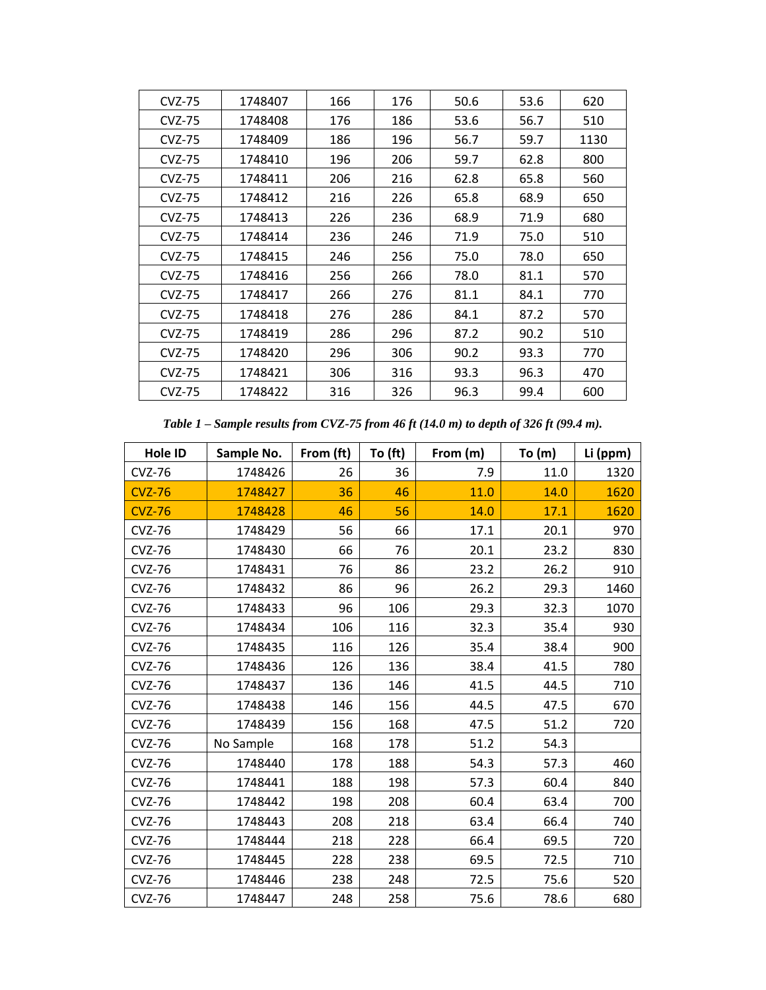| <b>CVZ-75</b> | 1748407 | 166 | 176 | 50.6 | 53.6 | 620  |
|---------------|---------|-----|-----|------|------|------|
| <b>CVZ-75</b> | 1748408 | 176 | 186 | 53.6 | 56.7 | 510  |
| <b>CVZ-75</b> | 1748409 | 186 | 196 | 56.7 | 59.7 | 1130 |
| <b>CVZ-75</b> | 1748410 | 196 | 206 | 59.7 | 62.8 | 800  |
| <b>CVZ-75</b> | 1748411 | 206 | 216 | 62.8 | 65.8 | 560  |
| <b>CVZ-75</b> | 1748412 | 216 | 226 | 65.8 | 68.9 | 650  |
| <b>CVZ-75</b> | 1748413 | 226 | 236 | 68.9 | 71.9 | 680  |
| <b>CVZ-75</b> | 1748414 | 236 | 246 | 71.9 | 75.0 | 510  |
| <b>CVZ-75</b> | 1748415 | 246 | 256 | 75.0 | 78.0 | 650  |
| <b>CVZ-75</b> | 1748416 | 256 | 266 | 78.0 | 81.1 | 570  |
| <b>CVZ-75</b> | 1748417 | 266 | 276 | 81.1 | 84.1 | 770  |
| <b>CVZ-75</b> | 1748418 | 276 | 286 | 84.1 | 87.2 | 570  |
| <b>CVZ-75</b> | 1748419 | 286 | 296 | 87.2 | 90.2 | 510  |
| <b>CVZ-75</b> | 1748420 | 296 | 306 | 90.2 | 93.3 | 770  |
| <b>CVZ-75</b> | 1748421 | 306 | 316 | 93.3 | 96.3 | 470  |
| <b>CVZ-75</b> | 1748422 | 316 | 326 | 96.3 | 99.4 | 600  |

*Table 1 – Sample results from CVZ-75 from 46 ft (14.0 m) to depth of 326 ft (99.4 m).*

| Hole ID       | Sample No. | From (ft) | To $(ft)$ | From (m) | To $(m)$ | Li (ppm) |
|---------------|------------|-----------|-----------|----------|----------|----------|
| <b>CVZ-76</b> | 1748426    | 26        | 36        | 7.9      | 11.0     | 1320     |
| <b>CVZ-76</b> | 1748427    | 36        | 46        | 11.0     | 14.0     | 1620     |
| <b>CVZ-76</b> | 1748428    | 46        | 56        | 14.0     | 17.1     | 1620     |
| <b>CVZ-76</b> | 1748429    | 56        | 66        | 17.1     | 20.1     | 970      |
| <b>CVZ-76</b> | 1748430    | 66        | 76        | 20.1     | 23.2     | 830      |
| <b>CVZ-76</b> | 1748431    | 76        | 86        | 23.2     | 26.2     | 910      |
| <b>CVZ-76</b> | 1748432    | 86        | 96        | 26.2     | 29.3     | 1460     |
| <b>CVZ-76</b> | 1748433    | 96        | 106       | 29.3     | 32.3     | 1070     |
| <b>CVZ-76</b> | 1748434    | 106       | 116       | 32.3     | 35.4     | 930      |
| <b>CVZ-76</b> | 1748435    | 116       | 126       | 35.4     | 38.4     | 900      |
| <b>CVZ-76</b> | 1748436    | 126       | 136       | 38.4     | 41.5     | 780      |
| <b>CVZ-76</b> | 1748437    | 136       | 146       | 41.5     | 44.5     | 710      |
| <b>CVZ-76</b> | 1748438    | 146       | 156       | 44.5     | 47.5     | 670      |
| <b>CVZ-76</b> | 1748439    | 156       | 168       | 47.5     | 51.2     | 720      |
| <b>CVZ-76</b> | No Sample  | 168       | 178       | 51.2     | 54.3     |          |
| <b>CVZ-76</b> | 1748440    | 178       | 188       | 54.3     | 57.3     | 460      |
| <b>CVZ-76</b> | 1748441    | 188       | 198       | 57.3     | 60.4     | 840      |
| <b>CVZ-76</b> | 1748442    | 198       | 208       | 60.4     | 63.4     | 700      |
| <b>CVZ-76</b> | 1748443    | 208       | 218       | 63.4     | 66.4     | 740      |
| <b>CVZ-76</b> | 1748444    | 218       | 228       | 66.4     | 69.5     | 720      |
| <b>CVZ-76</b> | 1748445    | 228       | 238       | 69.5     | 72.5     | 710      |
| <b>CVZ-76</b> | 1748446    | 238       | 248       | 72.5     | 75.6     | 520      |
| <b>CVZ-76</b> | 1748447    | 248       | 258       | 75.6     | 78.6     | 680      |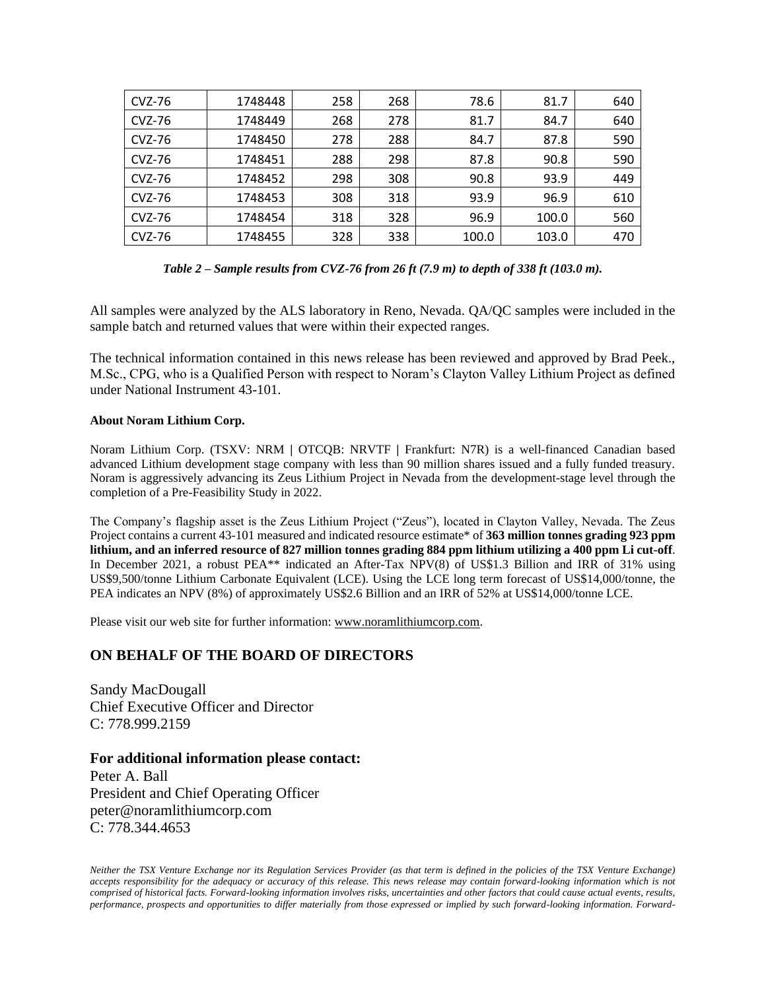| <b>CVZ-76</b> | 1748448 | 258 | 268 | 78.6  | 81.7  | 640 |
|---------------|---------|-----|-----|-------|-------|-----|
| CVZ-76        | 1748449 | 268 | 278 | 81.7  | 84.7  | 640 |
| CVZ-76        | 1748450 | 278 | 288 | 84.7  | 87.8  | 590 |
| CVZ-76        | 1748451 | 288 | 298 | 87.8  | 90.8  | 590 |
| CVZ-76        | 1748452 | 298 | 308 | 90.8  | 93.9  | 449 |
| CVZ-76        | 1748453 | 308 | 318 | 93.9  | 96.9  | 610 |
| CVZ-76        | 1748454 | 318 | 328 | 96.9  | 100.0 | 560 |
| CVZ-76        | 1748455 | 328 | 338 | 100.0 | 103.0 | 470 |

| Table 2 – Sample results from CVZ-76 from 26 ft (7.9 m) to depth of 338 ft (103.0 m). |  |  |
|---------------------------------------------------------------------------------------|--|--|
|                                                                                       |  |  |

All samples were analyzed by the ALS laboratory in Reno, Nevada. QA/QC samples were included in the sample batch and returned values that were within their expected ranges.

The technical information contained in this news release has been reviewed and approved by Brad Peek., M.Sc., CPG, who is a Qualified Person with respect to Noram's Clayton Valley Lithium Project as defined under National Instrument 43-101.

## **About Noram Lithium Corp.**

Noram Lithium Corp. (TSXV: NRM **|** OTCQB: NRVTF **|** Frankfurt: N7R) is a well-financed Canadian based advanced Lithium development stage company with less than 90 million shares issued and a fully funded treasury. Noram is aggressively advancing its Zeus Lithium Project in Nevada from the development-stage level through the completion of a Pre-Feasibility Study in 2022.

The Company's flagship asset is the Zeus Lithium Project ("Zeus"), located in Clayton Valley, Nevada. The Zeus Project contains a current 43-101 measured and indicated resource estimate\* of **363 million tonnes grading 923 ppm lithium, and an inferred resource of 827 million tonnes grading 884 ppm lithium utilizing a 400 ppm Li cut-off**. In December 2021, a robust PEA\*\* indicated an After-Tax NPV(8) of US\$1.3 Billion and IRR of 31% using US\$9,500/tonne Lithium Carbonate Equivalent (LCE). Using the LCE long term forecast of US\$14,000/tonne, the PEA indicates an NPV (8%) of approximately US\$2.6 Billion and an IRR of 52% at US\$14,000/tonne LCE.

Please visit our web site for further information: [www.noramlithiumcorp.com.](http://www.noramlithiumcorp.com/)

## **ON BEHALF OF THE BOARD OF DIRECTORS**

Sandy MacDougall Chief Executive Officer and Director C: 778.999.2159

## **For additional information please contact:**

Peter A. Ball President and Chief Operating Officer peter@noramlithiumcorp.com C: 778.344.4653

*Neither the TSX Venture Exchange nor its Regulation Services Provider (as that term is defined in the policies of the TSX Venture Exchange) accepts responsibility for the adequacy or accuracy of this release. This news release may contain forward-looking information which is not*  comprised of historical facts. Forward-looking information involves risks, uncertainties and other factors that could cause actual events, results, *performance, prospects and opportunities to differ materially from those expressed or implied by such forward-looking information. Forward-*